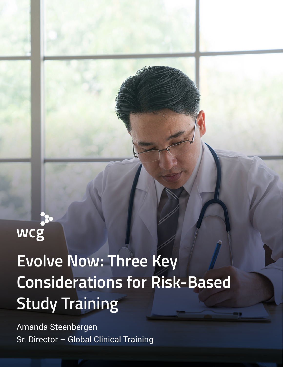# **Evolve Now: Three Key Considerations for Risk-Based Study Training**

Amanda Steenbergen Sr. Director – Global Clinical Training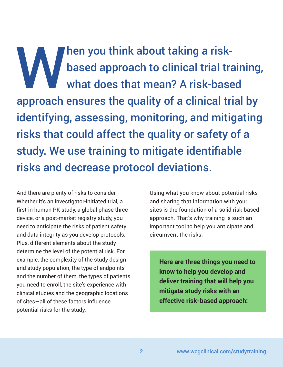When you think about taking a risk-<br>based approach to clinical trial tra<br>what does that mean? A risk-base based approach to clinical trial training, what does that mean? A risk-based approach ensures the quality of a clinical trial by identifying, assessing, monitoring, and mitigating risks that could affect the quality or safety of a study. We use training to mitigate identifiable risks and decrease protocol deviations.

And there are plenty of risks to consider. Whether it's an investigator-initiated trial, a first-in-human PK study, a global phase three device, or a post-market registry study, you need to anticipate the risks of patient safety and data integrity as you develop protocols. Plus, different elements about the study determine the level of the potential risk. For example, the complexity of the study design and study population, the type of endpoints and the number of them, the types of patients you need to enroll, the site's experience with clinical studies and the geographic locations of sites—all of these factors influence potential risks for the study.

Using what you know about potential risks and sharing that information with your sites is the foundation of a solid risk-based approach. That's why training is such an important tool to help you anticipate and circumvent the risks.

**Here are three things you need to know to help you develop and deliver training that will help you mitigate study risks with an effective risk-based approach:**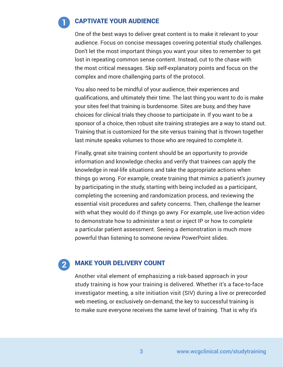## CAPTIVATE YOUR AUDIENCE

One of the best ways to deliver great content is to make it relevant to your audience. Focus on concise messages covering potential study challenges. Don't let the most important things you want your sites to remember to get lost in repeating common sense content. Instead, cut to the chase with the most critical messages. Skip self-explanatory points and focus on the complex and more challenging parts of the protocol.

You also need to be mindful of your audience, their experiences and qualifications, and ultimately their time. The last thing you want to do is make your sites feel that training is burdensome. Sites are busy, and they have choices for clinical trials they choose to participate in. If you want to be a sponsor of a choice, then robust site training strategies are a way to stand out. Training that is customized for the site versus training that is thrown together last minute speaks volumes to those who are required to complete it.

Finally, great site training content should be an opportunity to provide information and knowledge checks and verify that trainees can apply the knowledge in real-life situations and take the appropriate actions when things go wrong. For example, create training that mimics a patient's journey by participating in the study, starting with being included as a participant, completing the screening and randomization process, and reviewing the essential visit procedures and safety concerns. Then, challenge the learner with what they would do if things go awry. For example, use live-action video to demonstrate how to administer a test or inject IP or how to complete a particular patient assessment. Seeing a demonstration is much more powerful than listening to someone review PowerPoint slides.

### MAKE YOUR DELIVERY COUNT

 $\mathbf{2}$ 

Another vital element of emphasizing a risk-based approach in your study training is how your training is delivered. Whether it's a face-to-face investigator meeting, a site initiation visit (SIV) during a live or prerecorded web meeting, or exclusively on-demand, the key to successful training is to make sure everyone receives the same level of training. That is why it's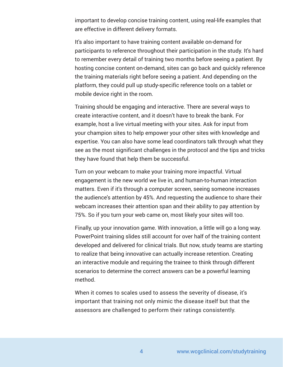important to develop concise training content, using real-life examples that are effective in different delivery formats.

It's also important to have training content available on-demand for participants to reference throughout their participation in the study. It's hard to remember every detail of training two months before seeing a patient. By hosting concise content on-demand, sites can go back and quickly reference the training materials right before seeing a patient. And depending on the platform, they could pull up study-specific reference tools on a tablet or mobile device right in the room.

Training should be engaging and interactive. There are several ways to create interactive content, and it doesn't have to break the bank. For example, host a live virtual meeting with your sites. Ask for input from your champion sites to help empower your other sites with knowledge and expertise. You can also have some lead coordinators talk through what they see as the most significant challenges in the protocol and the tips and tricks they have found that help them be successful.

Turn on your webcam to make your training more impactful. Virtual engagement is the new world we live in, and human-to-human interaction matters. Even if it's through a computer screen, seeing someone increases the audience's attention by 45%. And requesting the audience to share their webcam increases their attention span and their ability to pay attention by 75%. So if you turn your web came on, most likely your sites will too.

Finally, up your innovation game. With innovation, a little will go a long way. PowerPoint training slides still account for over half of the training content developed and delivered for clinical trials. But now, study teams are starting to realize that being innovative can actually increase retention. Creating an interactive module and requiring the trainee to think through different scenarios to determine the correct answers can be a powerful learning method.

When it comes to scales used to assess the severity of disease, it's important that training not only mimic the disease itself but that the assessors are challenged to perform their ratings consistently.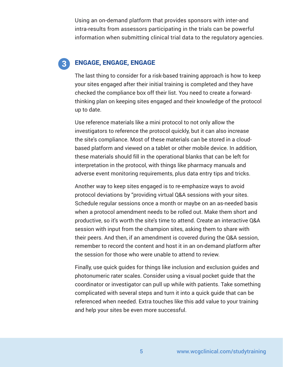Using an on-demand platform that provides sponsors with inter-and intra-results from assessors participating in the trials can be powerful information when submitting clinical trial data to the regulatory agencies.

#### ENGAGE, ENGAGE, ENGAGE  $\mathbf{3}$

The last thing to consider for a risk-based training approach is how to keep your sites engaged after their initial training is completed and they have checked the compliance box off their list. You need to create a forwardthinking plan on keeping sites engaged and their knowledge of the protocol up to date.

Use reference materials like a mini protocol to not only allow the investigators to reference the protocol quickly, but it can also increase the site's compliance. Most of these materials can be stored in a cloudbased platform and viewed on a tablet or other mobile device. In addition, these materials should fill in the operational blanks that can be left for interpretation in the protocol, with things like pharmacy manuals and adverse event monitoring requirements, plus data entry tips and tricks.

Another way to keep sites engaged is to re-emphasize ways to avoid protocol deviations by "providing virtual Q&A sessions with your sites. Schedule regular sessions once a month or maybe on an as-needed basis when a protocol amendment needs to be rolled out. Make them short and productive, so it's worth the site's time to attend. Create an interactive Q&A session with input from the champion sites, asking them to share with their peers. And then, if an amendment is covered during the Q&A session, remember to record the content and host it in an on-demand platform after the session for those who were unable to attend to review.

Finally, use quick guides for things like inclusion and exclusion guides and photonumeric rater scales. Consider using a visual pocket guide that the coordinator or investigator can pull up while with patients. Take something complicated with several steps and turn it into a quick guide that can be referenced when needed. Extra touches like this add value to your training and help your sites be even more successful.